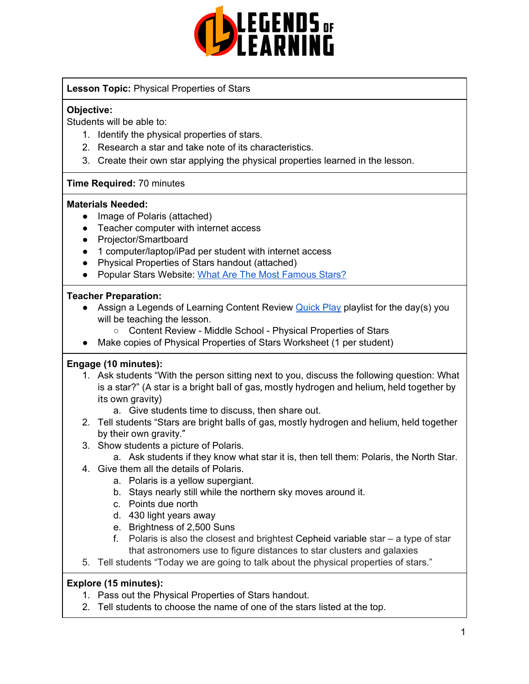

#### **Lesson Topic:** Physical Properties of Stars

#### **Objective:**

Students will be able to:

- 1. Identify the physical properties of stars.
- 2. Research a star and take note of its characteristics.
- 3. Create their own star applying the physical properties learned in the lesson.

#### **Time Required:** 70 minutes

#### **Materials Needed:**

- Image of Polaris (attached)
- Teacher computer with internet access
- Projector/Smartboard
- 1 computer/laptop/iPad per student with internet access
- Physical Properties of Stars handout (attached)
- Popular Stars Website: What Are The Most [Famous](https://www.universetoday.com/45775/famous-stars/) Stars?

#### **Teacher Preparation:**

- Assign a Legends of Learning Content Review **[Quick](https://intercom.help/legends-of-learning/en/articles/2701866-assigning-a-quick-play-playlist) Play playlist for the day(s)** you will be teaching the lesson.
	- Content Review Middle School Physical Properties of Stars
- Make copies of Physical Properties of Stars Worksheet (1 per student)

#### **Engage (10 minutes):**

- 1. Ask students "With the person sitting next to you, discuss the following question: What is a star?" (A star is a bright ball of gas, mostly hydrogen and helium, held together by its own gravity)
	- a. Give students time to discuss, then share out.
- 2. Tell students "Stars are bright balls of gas, mostly hydrogen and helium, held together by their own gravity."
- 3. Show students a picture of Polaris.
	- a. Ask students if they know what star it is, then tell them: Polaris, the North Star.
- 4. Give them all the details of Polaris.
	- a. Polaris is a yellow supergiant.
	- b. Stays nearly still while the northern sky moves around it.
	- c. Points due north
	- d. 430 light years away
	- e. Brightness of 2,500 Suns
	- f. Polaris is also the closest and brightest [Cepheid](https://earthsky.org/brightest-stars/delta-cephei-the-kings-famous-variable-star) variable star a type of star that astronomers use to figure distances to star clusters and galaxies
- 5. Tell students "Today we are going to talk about the physical properties of stars."

#### **Explore (15 minutes):**

- 1. Pass out the Physical Properties of Stars handout.
- 2. Tell students to choose the name of one of the stars listed at the top.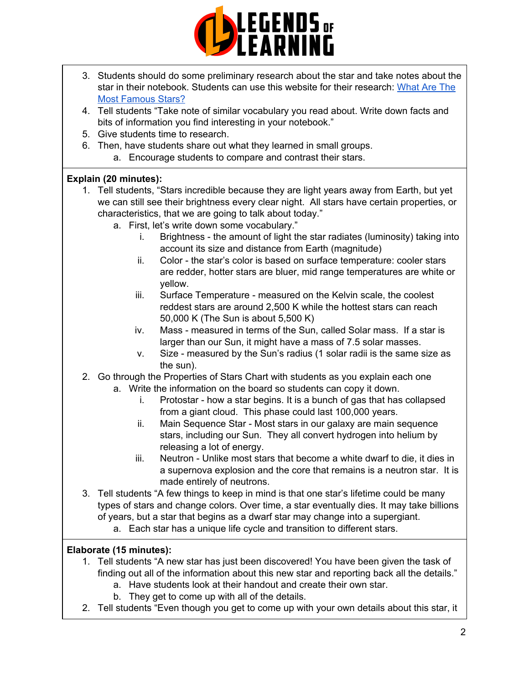

- 3. Students should do some preliminary research about the star and take notes about the star in their notebook. Students can use this website for their research: [What](https://www.universetoday.com/45775/famous-stars/) Are The Most [Famous](https://www.universetoday.com/45775/famous-stars/) Stars?
- 4. Tell students "Take note of similar vocabulary you read about. Write down facts and bits of information you find interesting in your notebook."
- 5. Give students time to research.
- 6. Then, have students share out what they learned in small groups.
	- a. Encourage students to compare and contrast their stars.

### **Explain (20 minutes):**

- 1. Tell students, "Stars incredible because they are light years away from Earth, but yet we can still see their brightness every clear night. All stars have certain properties, or characteristics, that we are going to talk about today."
	- a. First, let's write down some vocabulary."
		- i. Brightness the amount of light the star radiates (luminosity) taking into account its size and distance from Earth (magnitude)
		- ii. Color the star's color is based on surface temperature: cooler stars are redder, hotter stars are bluer, mid range temperatures are white or yellow.
		- iii. Surface Temperature measured on the Kelvin scale, the coolest reddest stars are around 2,500 K while the hottest stars can reach 50,000 K (The Sun is about 5,500 K)
		- iv. Mass measured in terms of the Sun, called Solar mass. If a star is larger than our Sun, it might have a mass of 7.5 solar masses.
		- v. Size measured by the Sun's radius (1 solar radii is the same size as the sun).
- 2. Go through the Properties of Stars Chart with students as you explain each one
	- a. Write the information on the board so students can copy it down.
		- i. Protostar how a star begins. It is a bunch of gas that has collapsed from a giant cloud. This phase could last 100,000 years.
		- ii. Main Sequence Star Most stars in our galaxy are main sequence stars, including our Sun. They all convert hydrogen into helium by releasing a lot of energy.
		- iii. Neutron Unlike most stars that become a white dwarf to die, it dies in a supernova explosion and the core that remains is a neutron star. It is made entirely of neutrons.
- 3. Tell students "A few things to keep in mind is that one star's lifetime could be many types of stars and change colors. Over time, a star eventually dies. It may take billions of years, but a star that begins as a dwarf star may change into a supergiant.
	- a. Each star has a unique life cycle and transition to different stars.

## **Elaborate (15 minutes):**

- 1. Tell students "A new star has just been discovered! You have been given the task of finding out all of the information about this new star and reporting back all the details."
	- a. Have students look at their handout and create their own star.
	- b. They get to come up with all of the details.
- 2. Tell students "Even though you get to come up with your own details about this star, it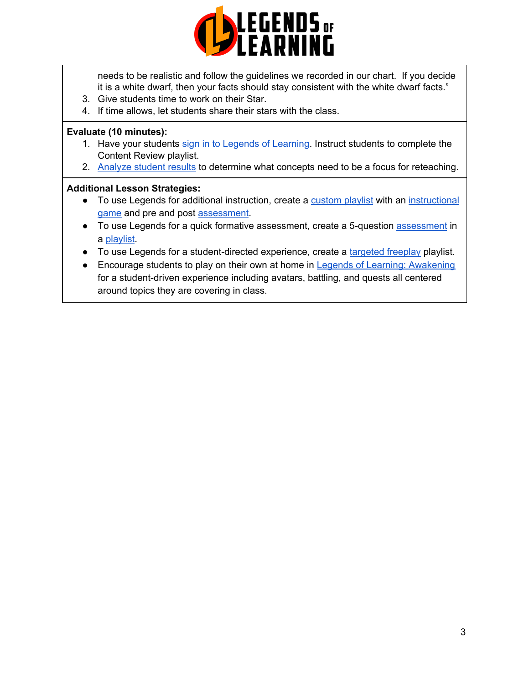

needs to be realistic and follow the guidelines we recorded in our chart. If you decide it is a white dwarf, then your facts should stay consistent with the white dwarf facts."

- 3. Give students time to work on their Star.
- 4. If time allows, let students share their stars with the class.

#### **Evaluate (10 minutes):**

- 1. Have your students sign in to Legends of [Learning](https://intercom.help/legends-of-learning/en/articles/2154920-students-joining-a-playlist). Instruct students to complete the Content Review playlist.
- 2. [Analyze](https://intercom.help/legends-of-learning/en/articles/2154918-tracking-student-progress-and-performance) student results to determine what concepts need to be a focus for reteaching.

#### **Additional Lesson Strategies:**

- To use Legends for additional instruction, create a [custom](https://intercom.help/legends-of-learning/en/articles/2154910-creating-a-playlist) playlist with an [instructional](https://intercom.help/legends-of-learning/en/articles/3505828-types-of-games) [game](https://intercom.help/legends-of-learning/en/articles/3505828-types-of-games) and pre and post [assessment](https://intercom.help/legends-of-learning/en/articles/2154913-adding-assessments-to-a-playlist).
- To use Legends for a quick formative [assessment](https://intercom.help/legends-of-learning/en/articles/2154913-adding-assessments-to-a-playlist), create a 5-question **assessment** in a [playlist](https://intercom.help/legends-of-learning/en/articles/2154910-creating-a-playlist).
- To use Legends for a student-directed experience, create a [targeted](https://intercom.help/legends-of-learning/en/articles/3340814-targeted-freeplay) freeplay playlist.
- Encourage students to play on their own at home in Legends of Learning: [Awakening](https://intercom.help/legends-of-learning/en/articles/2425490-legends-of-learning-awakening) for a student-driven experience including avatars, battling, and quests all centered around topics they are covering in class.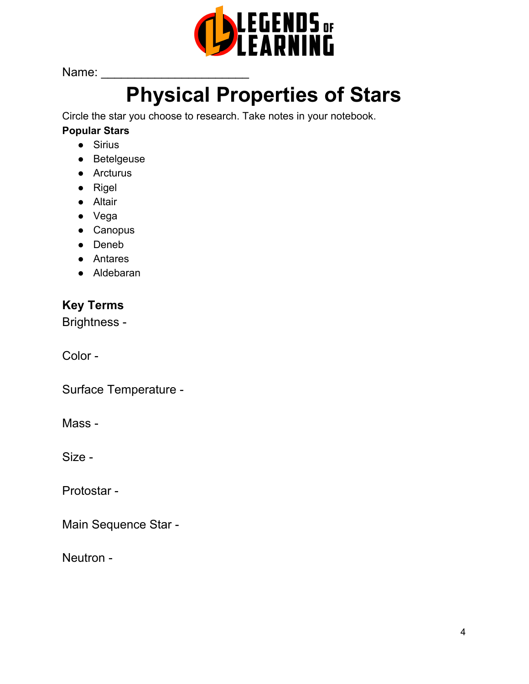

Name: \_\_\_\_\_\_\_\_\_\_\_\_\_\_\_\_\_\_\_\_\_\_

# **Physical Properties of Stars**

Circle the star you choose to research. Take notes in your notebook.

## **Popular Stars**

- Sirius
- Betelgeuse
- Arcturus
- Rigel
- Altair
- Vega
- Canopus
- Deneb
- Antares
- Aldebaran

# **Key Terms**

Brightness -

Color -

Surface Temperature -

Mass -

Size -

Protostar -

Main Sequence Star -

Neutron -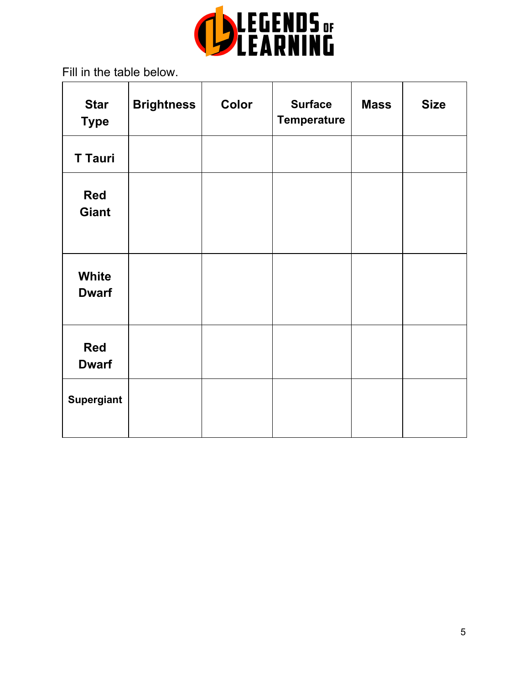

Fill in the table below.

| <b>Star</b><br><b>Type</b>   | <b>Brightness</b> | Color | <b>Surface</b><br><b>Temperature</b> | <b>Mass</b> | <b>Size</b> |
|------------------------------|-------------------|-------|--------------------------------------|-------------|-------------|
| <b>T Tauri</b>               |                   |       |                                      |             |             |
| <b>Red</b><br><b>Giant</b>   |                   |       |                                      |             |             |
| <b>White</b><br><b>Dwarf</b> |                   |       |                                      |             |             |
| <b>Red</b><br><b>Dwarf</b>   |                   |       |                                      |             |             |
| <b>Supergiant</b>            |                   |       |                                      |             |             |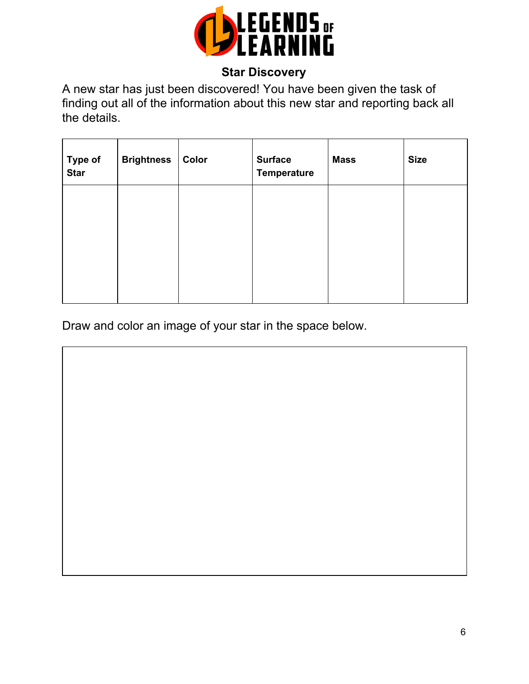

# **Star Discovery**

A new star has just been discovered! You have been given the task of finding out all of the information about this new star and reporting back all the details.

| Type of<br><b>Star</b> | <b>Brightness</b> | Color | <b>Surface</b><br><b>Temperature</b> | <b>Mass</b> | <b>Size</b> |
|------------------------|-------------------|-------|--------------------------------------|-------------|-------------|
|                        |                   |       |                                      |             |             |
|                        |                   |       |                                      |             |             |
|                        |                   |       |                                      |             |             |

Draw and color an image of your star in the space below.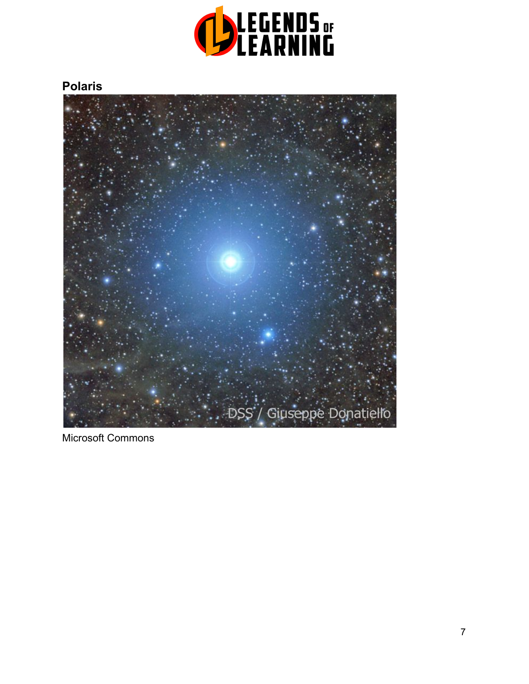

# **Polaris**



Microsoft Commons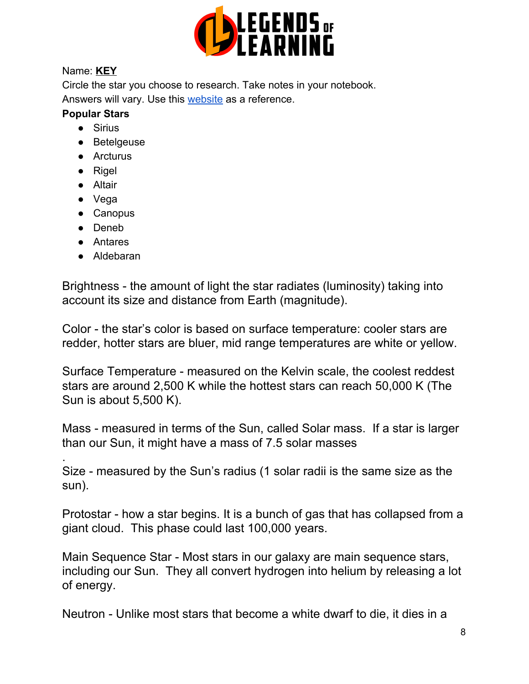

## Name: **KEY**

Circle the star you choose to research. Take notes in your notebook. Answers will vary. Use this [website](https://www.universetoday.com/45775/famous-stars/) as a reference.

## **Popular Stars**

- Sirius
- Betelgeuse
- Arcturus
- Rigel
- Altair
- Vega
- Canopus
- Deneb

.

- Antares
- Aldebaran

Brightness - the amount of light the star radiates (luminosity) taking into account its size and distance from Earth (magnitude).

Color - the star's color is based on surface temperature: cooler stars are redder, hotter stars are bluer, mid range temperatures are white or yellow.

Surface Temperature - measured on the Kelvin scale, the coolest reddest stars are around 2,500 K while the hottest stars can reach 50,000 K (The Sun is about 5,500 K).

Mass - measured in terms of the Sun, called Solar mass. If a star is larger than our Sun, it might have a mass of 7.5 solar masses

Size - measured by the Sun's radius (1 solar radii is the same size as the sun).

Protostar - how a star begins. It is a bunch of gas that has collapsed from a giant cloud. This phase could last 100,000 years.

Main Sequence Star - Most stars in our galaxy are main sequence stars, including our Sun. They all convert hydrogen into helium by releasing a lot of energy.

Neutron - Unlike most stars that become a white dwarf to die, it dies in a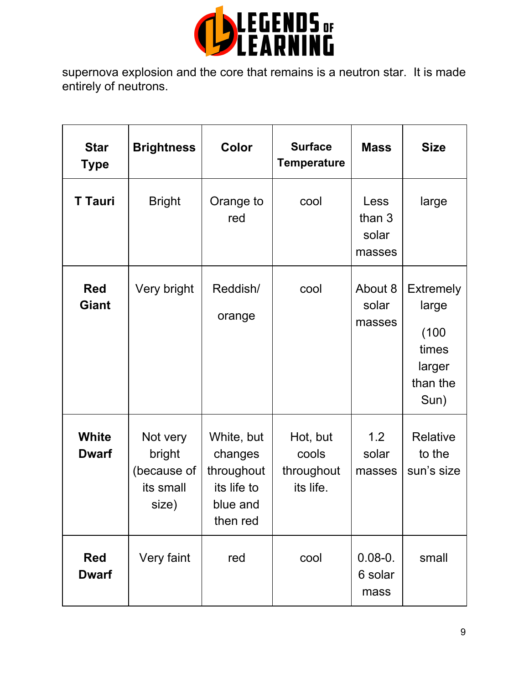

supernova explosion and the core that remains is a neutron star. It is made entirely of neutrons.

| <b>Star</b><br><b>Type</b> | <b>Brightness</b>                                       | Color                                                                      | <b>Surface</b><br><b>Temperature</b>         | <b>Mass</b>                       | <b>Size</b>                                                               |
|----------------------------|---------------------------------------------------------|----------------------------------------------------------------------------|----------------------------------------------|-----------------------------------|---------------------------------------------------------------------------|
| <b>T</b> Tauri             | <b>Bright</b>                                           | Orange to<br>red                                                           | cool                                         | Less<br>than 3<br>solar<br>masses | large                                                                     |
| <b>Red</b><br><b>Giant</b> | Very bright                                             | Reddish/<br>orange                                                         | cool                                         | About 8<br>solar<br>masses        | <b>Extremely</b><br>large<br>(100)<br>times<br>larger<br>than the<br>Sun) |
| White<br><b>Dwarf</b>      | Not very<br>bright<br>(because of<br>its small<br>size) | White, but<br>changes<br>throughout<br>its life to<br>blue and<br>then red | Hot, but<br>cools<br>throughout<br>its life. | 1.2<br>solar<br>masses            | Relative<br>to the<br>sun's size                                          |
| <b>Red</b><br><b>Dwarf</b> | Very faint                                              | red                                                                        | cool                                         | $0.08 - 0.$<br>6 solar<br>mass    | small                                                                     |